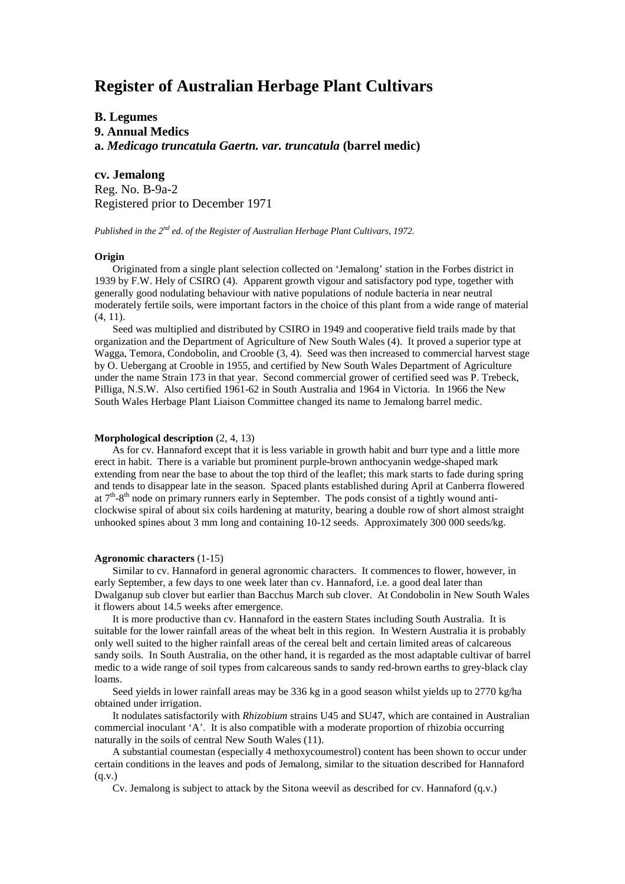# **Register of Australian Herbage Plant Cultivars**

## **B. Legumes 9. Annual Medics a.** *Medicago truncatula Gaertn. var. truncatula* **(barrel medic)**

**cv. Jemalong** Reg. No. B-9a-2 Registered prior to December 1971

*Published in the 2nd ed. of the Register of Australian Herbage Plant Cultivars, 1972.*

### **Origin**

Originated from a single plant selection collected on 'Jemalong' station in the Forbes district in 1939 by F.W. Hely of CSIRO (4). Apparent growth vigour and satisfactory pod type, together with generally good nodulating behaviour with native populations of nodule bacteria in near neutral moderately fertile soils, were important factors in the choice of this plant from a wide range of material (4, 11).

Seed was multiplied and distributed by CSIRO in 1949 and cooperative field trails made by that organization and the Department of Agriculture of New South Wales (4). It proved a superior type at Wagga, Temora, Condobolin, and Crooble (3, 4). Seed was then increased to commercial harvest stage by O. Uebergang at Crooble in 1955, and certified by New South Wales Department of Agriculture under the name Strain 173 in that year. Second commercial grower of certified seed was P. Trebeck, Pilliga, N.S.W. Also certified 1961-62 in South Australia and 1964 in Victoria. In 1966 the New South Wales Herbage Plant Liaison Committee changed its name to Jemalong barrel medic.

#### **Morphological description** (2, 4, 13)

As for cv. Hannaford except that it is less variable in growth habit and burr type and a little more erect in habit. There is a variable but prominent purple-brown anthocyanin wedge-shaped mark extending from near the base to about the top third of the leaflet; this mark starts to fade during spring and tends to disappear late in the season. Spaced plants established during April at Canberra flowered at  $7<sup>th</sup>-8<sup>th</sup>$  node on primary runners early in September. The pods consist of a tightly wound anticlockwise spiral of about six coils hardening at maturity, bearing a double row of short almost straight unhooked spines about 3 mm long and containing 10-12 seeds. Approximately 300 000 seeds/kg.

#### **Agronomic characters** (1-15)

Similar to cv. Hannaford in general agronomic characters. It commences to flower, however, in early September, a few days to one week later than cv. Hannaford, i.e. a good deal later than Dwalganup sub clover but earlier than Bacchus March sub clover. At Condobolin in New South Wales it flowers about 14.5 weeks after emergence.

It is more productive than cv. Hannaford in the eastern States including South Australia. It is suitable for the lower rainfall areas of the wheat belt in this region. In Western Australia it is probably only well suited to the higher rainfall areas of the cereal belt and certain limited areas of calcareous sandy soils. In South Australia, on the other hand, it is regarded as the most adaptable cultivar of barrel medic to a wide range of soil types from calcareous sands to sandy red-brown earths to grey-black clay loams.

Seed yields in lower rainfall areas may be 336 kg in a good season whilst yields up to 2770 kg/ha obtained under irrigation.

It nodulates satisfactorily with *Rhizobium* strains U45 and SU47, which are contained in Australian commercial inoculant 'A'. It is also compatible with a moderate proportion of rhizobia occurring naturally in the soils of central New South Wales (11).

A substantial coumestan (especially 4 methoxycoumestrol) content has been shown to occur under certain conditions in the leaves and pods of Jemalong, similar to the situation described for Hannaford  $(q.v.)$ 

Cv. Jemalong is subject to attack by the Sitona weevil as described for cv. Hannaford (q.v.)